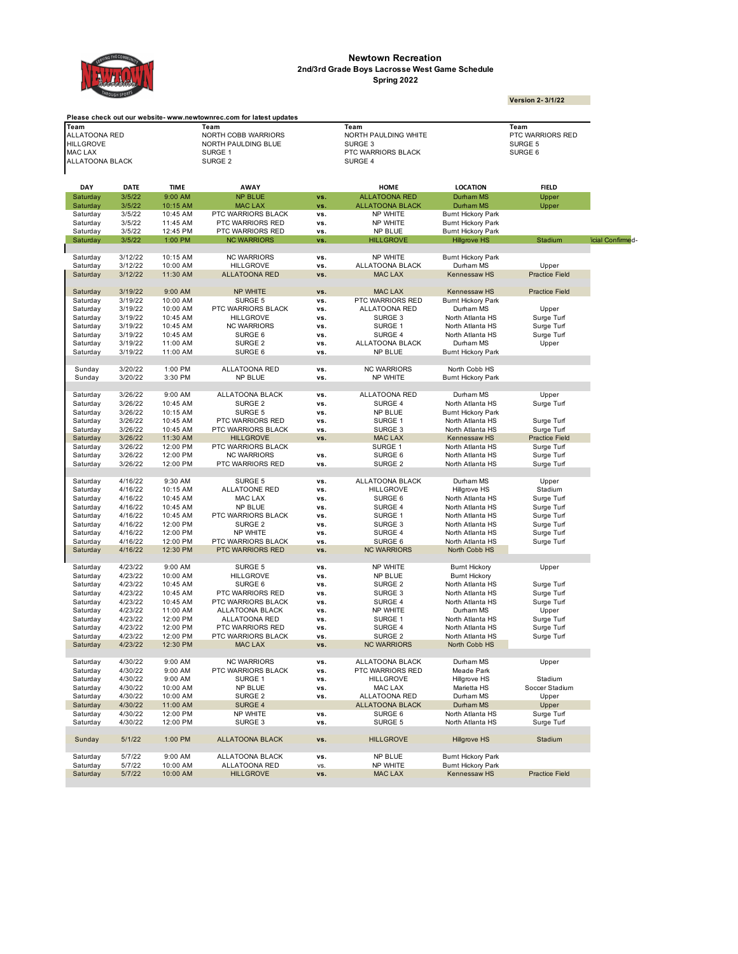

## **Newtown Recreation Spring 2022 2nd/3rd Grade Boys Lacrosse West Game Schedule**

|                                   | <b>ROUGH SPORT</b> |                      |                                                                     |            |                                     |                                                        | <b>Version 2-3/1/22</b>  |                   |
|-----------------------------------|--------------------|----------------------|---------------------------------------------------------------------|------------|-------------------------------------|--------------------------------------------------------|--------------------------|-------------------|
|                                   |                    |                      | Please check out our website- www.newtownrec.com for latest updates |            |                                     |                                                        |                          |                   |
| Team                              |                    |                      | Team                                                                |            | Team                                |                                                        | Team                     |                   |
| <b>ALLATOONA RED</b>              |                    |                      | <b>NORTH COBB WARRIORS</b>                                          |            | NORTH PAULDING WHITE                |                                                        | PTC WARRIORS RED         |                   |
| HILLGROVE                         |                    |                      | NORTH PAULDING BLUE                                                 |            | SURGE 3                             |                                                        | SURGE 5                  |                   |
| MAC LAX<br><b>ALLATOONA BLACK</b> |                    |                      | SURGE 1<br>SURGE 2                                                  |            | PTC WARRIORS BLACK<br>SURGE 4       |                                                        | SURGE 6                  |                   |
|                                   |                    |                      |                                                                     |            |                                     |                                                        |                          |                   |
| DAY                               | <b>DATE</b>        | <b>TIME</b>          | AWAY                                                                |            | HOME                                | <b>LOCATION</b>                                        | <b>FIELD</b>             |                   |
| Saturday                          | 3/5/22             | 9:00 AM              | <b>NP BLUE</b>                                                      | VS.        | <b>ALLATOONA RED</b>                | Durham MS                                              | Upper                    |                   |
| Saturday                          | 3/5/22             | 10:15 AM             | <b>MAC LAX</b>                                                      | VS.        | <b>ALLATOONA BLACK</b>              | Durham MS                                              | Upper                    |                   |
| Saturday                          | 3/5/22             | 10:45 AM             | PTC WARRIORS BLACK                                                  | VS.        | NP WHITE                            | <b>Burnt Hickory Park</b>                              |                          |                   |
| Saturday                          | 3/5/22             | 11:45 AM             | PTC WARRIORS RED                                                    | vs.        | NP WHITE                            | <b>Burnt Hickory Park</b>                              |                          |                   |
| Saturday                          | 3/5/22             | 12:45 PM             | PTC WARRIORS RED                                                    | VS.        | <b>NP BLUE</b>                      | <b>Bumt Hickory Park</b>                               |                          |                   |
| Saturday                          | 3/5/22             | 1:00 PM              | <b>NC WARRIORS</b>                                                  | <b>VS</b>  | <b>HILLGROVE</b>                    | <b>Hillgrove HS</b>                                    | Stadium                  | ficial Confirmed- |
| Saturday                          | 3/12/22            | 10:15 AM             | <b>NC WARRIORS</b>                                                  | VS.        | NP WHITE                            | <b>Bumt Hickory Park</b>                               |                          |                   |
| Saturday                          | 3/12/22            | 10:00 AM             | <b>HILLGROVE</b>                                                    | vs.        | ALLATOONA BLACK                     | Durham MS                                              | Upper                    |                   |
| Saturday                          | 3/12/22            | 11:30 AM             | <b>ALLATOONA RED</b>                                                | VS.        | <b>MAC LAX</b>                      | Kennessaw HS                                           | <b>Practice Field</b>    |                   |
|                                   |                    |                      |                                                                     |            |                                     |                                                        |                          |                   |
| Saturday                          | 3/19/22<br>3/19/22 | 9:00 AM<br>10:00 AM  | NP WHITE                                                            | VS.<br>VS. | <b>MAC LAX</b><br>PTC WARRIORS RED  | Kennessaw HS                                           | <b>Practice Field</b>    |                   |
| Saturday<br>Saturday              | 3/19/22            | 10:00 AM             | SURGE 5<br>PTC WARRIORS BLACK                                       | VS.        | ALLATOONA RED                       | <b>Bumt Hickory Park</b><br>Durham MS                  | Upper                    |                   |
| Saturday                          | 3/19/22            | 10:45 AM             | <b>HILLGROVE</b>                                                    | VS.        | SURGE 3                             | North Atlanta HS                                       | Surge Turf               |                   |
| Saturday                          | 3/19/22            | 10:45 AM             | <b>NC WARRIORS</b>                                                  | VS.        | SURGE 1                             | North Atlanta HS                                       | Surge Turf               |                   |
| Saturday                          | 3/19/22            | 10:45 AM             | SURGE 6                                                             | VS.        | SURGE 4                             | North Atlanta HS                                       | Surge Turf               |                   |
| Saturday                          | 3/19/22            | 11:00 AM             | SURGE <sub>2</sub>                                                  | vs.        | ALLATOONA BLACK                     | Durham MS                                              | Upper                    |                   |
| Saturday                          | 3/19/22            | 11:00 AM             | SURGE 6                                                             | VS.        | NP BLUE                             | <b>Burnt Hickory Park</b>                              |                          |                   |
|                                   |                    |                      |                                                                     |            |                                     |                                                        |                          |                   |
| Sunday                            | 3/20/22            | 1:00 PM              | ALLATOONA RED                                                       | VS.        | <b>NC WARRIORS</b>                  | North Cobb HS                                          |                          |                   |
| Sunday                            | 3/20/22            | 3:30 PM              | NP BLUE                                                             | vs.        | <b>NP WHITE</b>                     | <b>Bumt Hickory Park</b>                               |                          |                   |
| Saturday                          | 3/26/22            | 9:00 AM              | ALLATOONA BLACK                                                     | VS.        | ALLATOONA RED                       | Durham MS                                              | Upper                    |                   |
|                                   | 3/26/22            | 10:45 AM             | SURGE 2                                                             | vs.        | SURGE 4                             | North Atlanta HS                                       | Surge Turf               |                   |
| Saturday<br>Saturday              | 3/26/22            | 10:15 AM             | SURGE 5                                                             | vs.        | <b>NP BLUE</b>                      | <b>Burnt Hickory Park</b>                              |                          |                   |
| Saturday                          | 3/26/22            | 10:45 AM             | PTC WARRIORS RED                                                    | VS.        | SURGE 1                             | North Atlanta HS                                       | Surge Turf               |                   |
| Saturday                          | 3/26/22            | 10:45 AM             | PTC WARRIORS BLACK                                                  | vs.        | SURGE 3                             | North Atlanta HS                                       | Surge Turf               |                   |
| Saturday                          | 3/26/22            | 11:30 AM             | <b>HILLGROVE</b>                                                    | VS.        | <b>MAC LAX</b>                      | Kennessaw HS                                           | <b>Practice Field</b>    |                   |
| Saturday                          | 3/26/22            | 12:00 PM             | PTC WARRIORS BLACK                                                  |            | SURGE 1                             | North Atlanta HS                                       | Surge Turf               |                   |
| Saturday                          | 3/26/22            | 12:00 PM             | <b>NC WARRIORS</b>                                                  | VS.        | SURGE 6                             | North Atlanta HS                                       | Surge Turf               |                   |
| Saturday                          | 3/26/22            | 12:00 PM             | PTC WARRIORS RED                                                    | vs.        | SURGE 2                             | North Atlanta HS                                       | Surge Turf               |                   |
|                                   |                    |                      |                                                                     |            |                                     |                                                        |                          |                   |
| Saturday                          | 4/16/22<br>4/16/22 | 9:30 AM<br>10:15 AM  | SURGE 5<br>ALLATOONE RED                                            | VS.<br>vs. | ALLATOONA BLACK<br><b>HILLGROVE</b> | Durham MS<br>Hillgrove HS                              | Upper<br>Stadium         |                   |
| Saturday<br>Saturday              | 4/16/22            | 10:45 AM             | MAC LAX                                                             | VS.        | SURGE 6                             | North Atlanta HS                                       | Surge Turf               |                   |
| Saturday                          | 4/16/22            | 10:45 AM             | NP BLUE                                                             | VS.        | SURGE 4                             | North Atlanta HS                                       | Surge Turf               |                   |
| Saturday                          | 4/16/22            | 10:45 AM             | PTC WARRIORS BLACK                                                  | VS.        | SURGE 1                             | North Atlanta HS                                       | Surge Turf               |                   |
| Saturday                          | 4/16/22            | 12:00 PM             | SURGE <sub>2</sub>                                                  | VS.        | SURGE 3                             | North Atlanta HS                                       | Surge Turf               |                   |
| Saturday                          | 4/16/22            | 12:00 PM             | NP WHITE                                                            | VS.        | SURGE 4                             | North Atlanta HS                                       | Surge Turf               |                   |
| Saturday                          | 4/16/22            | 12:00 PM             | PTC WARRIORS BLACK                                                  | VS.        | SURGE 6                             | North Atlanta HS                                       | Surge Turf               |                   |
| Saturday                          | 4/16/22            | 12:30 PM             | PTC WARRIORS RED                                                    | VS.        | <b>NC WARRIORS</b>                  | North Cobb HS                                          |                          |                   |
|                                   |                    |                      |                                                                     |            |                                     |                                                        |                          |                   |
| Saturday                          | 4/23/22            | 9:00 AM              | SURGE 5                                                             | VS.        | <b>NP WHITE</b>                     | <b>Burnt Hickory</b>                                   | Upper                    |                   |
| Saturday                          | 4/23/22            | 10:00 AM             | <b>HILLGROVE</b>                                                    | VS.        | <b>NP BLUE</b>                      | <b>Burnt Hickory</b>                                   |                          |                   |
| Saturday                          | 4/23/22            | 10:45 AM             | SURGE 6                                                             | VS.        | SURGE 2                             | North Atlanta HS                                       | Surge Turf               |                   |
| Saturday                          | 4/23/22            | 10:45 AM             | PTC WARRIORS RED                                                    | VS.        | SURGE 3                             | North Atlanta HS                                       | Surge Turf               |                   |
| Saturday                          | 4/23/22<br>4/23/22 | 10:45 AM             | PTC WARRIORS BLACK                                                  | VS.        | SURGE 4                             | North Atlanta HS                                       | Surge Turf               |                   |
| Saturday                          |                    | 11:00 AM             | ALLATOONA BLACK                                                     | VS.        | NP WHITE                            | Durham MS                                              | Upper                    |                   |
| Saturday                          | 4/23/22<br>4/23/22 | 12:00 PM             | ALLATOONA RED                                                       | VS.        | SURGE 1<br>SURGE 4                  | North Atlanta HS<br>North Atlanta HS                   | Surge Turf               |                   |
| Saturday<br>Saturday              |                    | 12:00 PM             | PTC WARRIORS RED                                                    | VS.        |                                     | North Atlanta HS                                       | Surge Turf               |                   |
| Saturday                          | 4/23/22<br>4/23/22 | 12:00 PM<br>12:30 PM | PTC WARRIORS BLACK<br>MAC LAX                                       | VS.<br>VS. | SURGE 2<br><b>NC WARRIORS</b>       | North Cobb HS                                          | Surge Turf               |                   |
|                                   |                    |                      |                                                                     |            |                                     |                                                        |                          |                   |
| Saturday                          | 4/30/22            | 9:00 AM              | <b>NC WARRIORS</b>                                                  | VS.        | ALLATOONA BLACK                     | Durham MS                                              | Upper                    |                   |
| Saturday                          | 4/30/22            | 9:00 AM              | PTC WARRIORS BLACK                                                  | VS.        | PTC WARRIORS RED                    | Meade Park                                             |                          |                   |
| Saturday                          | 4/30/22            | 9:00 AM              | SURGE 1                                                             | VS.        | <b>HILLGROVE</b>                    | Hillgrove HS                                           | Stadium                  |                   |
| Saturday                          | 4/30/22            | 10:00 AM             | <b>NP BLUE</b>                                                      | VS.        | MAC LAX                             | Marietta HS                                            | Soccer Stadium           |                   |
| Saturday                          | 4/30/22            | 10:00 AM             | SURGE <sub>2</sub>                                                  | VS.        | ALLATOONA RED                       | Durham MS                                              | Upper                    |                   |
| Saturday<br>Saturday              | 4/30/22<br>4/30/22 | 11:00 AM             | SURGE 4<br>NP WHITE                                                 |            | ALLATOONA BLACK<br>SURGE 6          | Durham MS<br>North Atlanta HS                          | Upper                    |                   |
| Saturday                          | 4/30/22            | 12:00 PM<br>12:00 PM | SURGE 3                                                             | VS.<br>VS. | SURGE 5                             | North Atlanta HS                                       | Surge Turf<br>Surge Turf |                   |
|                                   |                    |                      |                                                                     |            |                                     |                                                        |                          |                   |
|                                   |                    |                      | <b>ALLATOONA BLACK</b>                                              | VS.        | <b>HILLGROVE</b>                    | <b>Hillgrove HS</b>                                    | Stadium                  |                   |
| Sunday                            | 5/1/22             | 1:00 PM              |                                                                     |            |                                     |                                                        |                          |                   |
|                                   |                    |                      |                                                                     |            |                                     |                                                        |                          |                   |
| Saturdav<br>Saturday              | 5/7/22<br>5/7/22   | 9:00 AM<br>10:00 AM  | ALLATOONA BLACK<br>ALLATOONA RED                                    | vs.<br>VS. | NP BLUE<br>NP WHITE                 | <b>Burnt Hickory Park</b><br><b>Burnt Hickory Park</b> |                          |                   |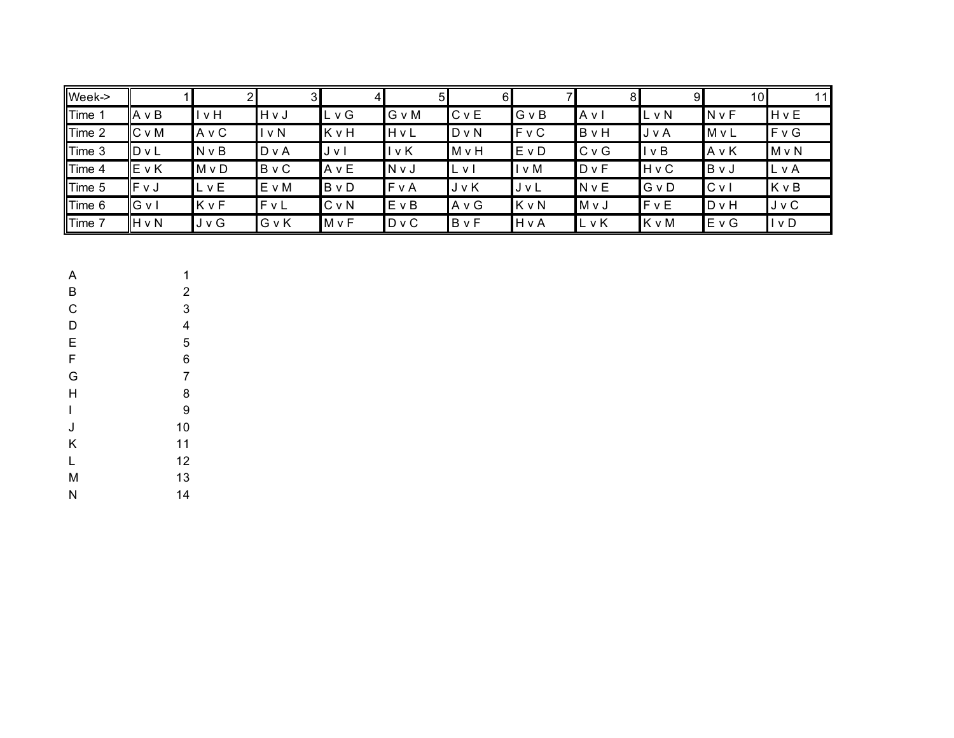| Week->      |        |              | 31           | 4       |       | 61           |              | 8            | 91           | 101            | 11           |
|-------------|--------|--------------|--------------|---------|-------|--------------|--------------|--------------|--------------|----------------|--------------|
| <b>Time</b> | A v B  | v H          | HvJ          | LvG     | G v M | <b>C</b> v E | GvB          | Avl          | L v N        | $N \vee F$     | <b>H</b> v E |
| Time 2      | C v M  | A v C        | $I \vee N$   | KvH     | HvL   | $D \vee N$   | <b>F</b> v C | B v H        | J v A        | $M \vee L$     | F v G        |
| Time 3      | ID v L | <b>N</b> v B | D v A        | J v l   | v K   | M v H        | EvD          | C v G        | I v B        | AvK            | $M \vee N$   |
| Time 4      | IE v K | $M \vee D$   | <b>B</b> v C | AvE     | N v J | L v I        | ∣v M         | D v F        | <b>H</b> v C | BvJ            | LvA          |
| Time 5      | IFVJ   | LvE          | EvM          | BvD     | FvA   | JvK          | JvL          | <b>N</b> v E | GvD          | C <sub>V</sub> | KvB          |
| Time 6      | IG v I | KvF          | FvL          | $C$ v N | EvB   | AvG          | KvN          | M v J        | FvE          | <b>D</b> v H   | J v C        |
| Time 7      | H v N  | J v G        | GvK          | MvF     | D v C | BvF          | HvA          | LvK          | K v M        | EvG            | l v D        |

A 1 B 2  $\overline{C}$  3 D 4 E 5 F 6 G 7 H 8 I 9 J 10 K 11 L 12 M 13 N 14